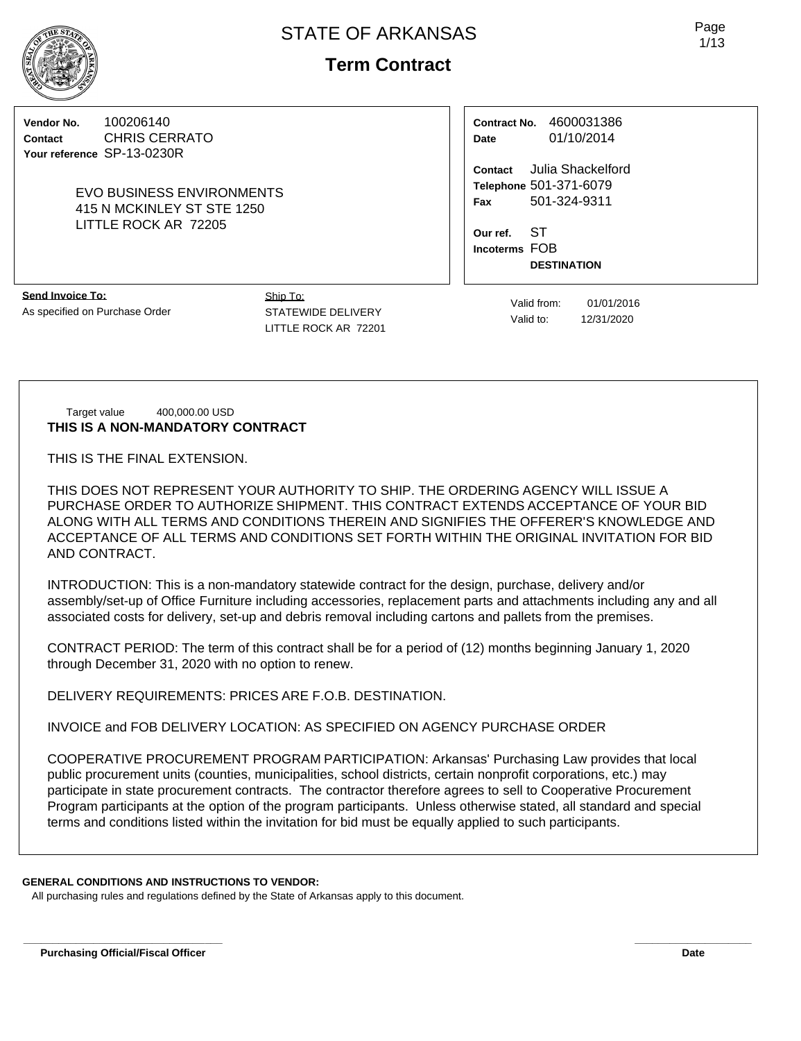**Term Contract**

**Vendor No.** 100206140 **Contact** CHRIS CERRATO **Your reference** SP-13-0230R

## EVO BUSINESS ENVIRONMENTS 415 N MCKINLEY ST STE 1250 LITTLE ROCK AR 72205

**Contract No.** 4600031386 **Date** 01/10/2014

**Contact** Julia Shackelford **Telephone** 501-371-6079 **Fax** 501-324-9311

**Our ref.** ST **Incoterms** FOB **DESTINATION**

**Send Invoice To:** As specified on Purchase Order Ship To: STATEWIDE DELIVERY LITTLE ROCK AR 72201

Valid from: 01/01/2016 Valid to: 12/31/2020

Target value 400,000.00 USD **THIS IS A NON-MANDATORY CONTRACT**

THIS IS THE FINAL EXTENSION.

THIS DOES NOT REPRESENT YOUR AUTHORITY TO SHIP. THE ORDERING AGENCY WILL ISSUE A PURCHASE ORDER TO AUTHORIZE SHIPMENT. THIS CONTRACT EXTENDS ACCEPTANCE OF YOUR BID ALONG WITH ALL TERMS AND CONDITIONS THEREIN AND SIGNIFIES THE OFFERER'S KNOWLEDGE AND ACCEPTANCE OF ALL TERMS AND CONDITIONS SET FORTH WITHIN THE ORIGINAL INVITATION FOR BID AND CONTRACT.

INTRODUCTION: This is a non-mandatory statewide contract for the design, purchase, delivery and/or assembly/set-up of Office Furniture including accessories, replacement parts and attachments including any and all associated costs for delivery, set-up and debris removal including cartons and pallets from the premises.

CONTRACT PERIOD: The term of this contract shall be for a period of (12) months beginning January 1, 2020 through December 31, 2020 with no option to renew.

DELIVERY REQUIREMENTS: PRICES ARE F.O.B. DESTINATION.

INVOICE and FOB DELIVERY LOCATION: AS SPECIFIED ON AGENCY PURCHASE ORDER

COOPERATIVE PROCUREMENT PROGRAM PARTICIPATION: Arkansas' Purchasing Law provides that local public procurement units (counties, municipalities, school districts, certain nonprofit corporations, etc.) may participate in state procurement contracts. The contractor therefore agrees to sell to Cooperative Procurement Program participants at the option of the program participants. Unless otherwise stated, all standard and special terms and conditions listed within the invitation for bid must be equally applied to such participants.

**\_\_\_\_\_\_\_\_\_\_\_\_\_\_\_\_\_\_\_\_\_\_\_\_\_\_\_\_\_\_\_\_\_\_ \_\_\_\_\_\_\_\_\_\_\_\_\_\_\_\_\_\_\_\_**

# **GENERAL CONDITIONS AND INSTRUCTIONS TO VENDOR:**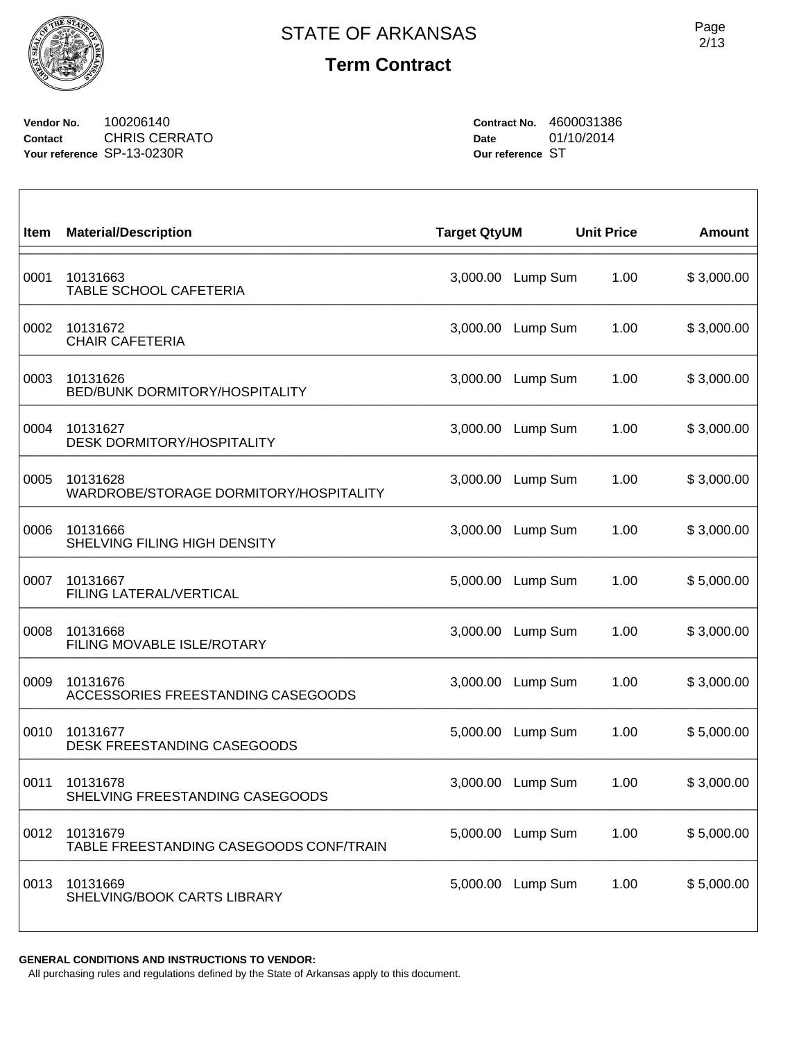

**Vendor No.** 100206140 **Contact** CHRIS CERRATO **Your reference** SP-13-0230R

**Contract No.** 4600031386 **Date** 01/10/2014 **Our reference** ST

| Item | <b>Material/Description</b>                         | <b>Target QtyUM</b> |          | <b>Unit Price</b> | <b>Amount</b> |
|------|-----------------------------------------------------|---------------------|----------|-------------------|---------------|
| 0001 | 10131663<br>TABLE SCHOOL CAFETERIA                  | 3,000.00            | Lump Sum | 1.00              | \$3,000.00    |
| 0002 | 10131672<br><b>CHAIR CAFETERIA</b>                  | 3,000.00            | Lump Sum | 1.00              | \$3,000.00    |
| 0003 | 10131626<br><b>BED/BUNK DORMITORY/HOSPITALITY</b>   | 3,000.00            | Lump Sum | 1.00              | \$3,000.00    |
| 0004 | 10131627<br><b>DESK DORMITORY/HOSPITALITY</b>       | 3,000.00            | Lump Sum | 1.00              | \$3,000.00    |
| 0005 | 10131628<br>WARDROBE/STORAGE DORMITORY/HOSPITALITY  | 3,000.00            | Lump Sum | 1.00              | \$3,000.00    |
| 0006 | 10131666<br>SHELVING FILING HIGH DENSITY            | 3,000.00            | Lump Sum | 1.00              | \$3,000.00    |
| 0007 | 10131667<br>FILING LATERAL/VERTICAL                 | 5,000.00            | Lump Sum | 1.00              | \$5,000.00    |
| 0008 | 10131668<br>FILING MOVABLE ISLE/ROTARY              | 3,000.00            | Lump Sum | 1.00              | \$3,000.00    |
| 0009 | 10131676<br>ACCESSORIES FREESTANDING CASEGOODS      | 3,000.00            | Lump Sum | 1.00              | \$3,000.00    |
| 0010 | 10131677<br>DESK FREESTANDING CASEGOODS             | 5,000.00            | Lump Sum | 1.00              | \$5,000.00    |
| 0011 | 10131678<br>SHELVING FREESTANDING CASEGOODS         | 3,000.00            | Lump Sum | 1.00              | \$3,000.00    |
| 0012 | 10131679<br>TABLE FREESTANDING CASEGOODS CONF/TRAIN | 5,000.00            | Lump Sum | 1.00              | \$5,000.00    |
| 0013 | 10131669<br>SHELVING/BOOK CARTS LIBRARY             | 5,000.00            | Lump Sum | 1.00              | \$5,000.00    |

**GENERAL CONDITIONS AND INSTRUCTIONS TO VENDOR:**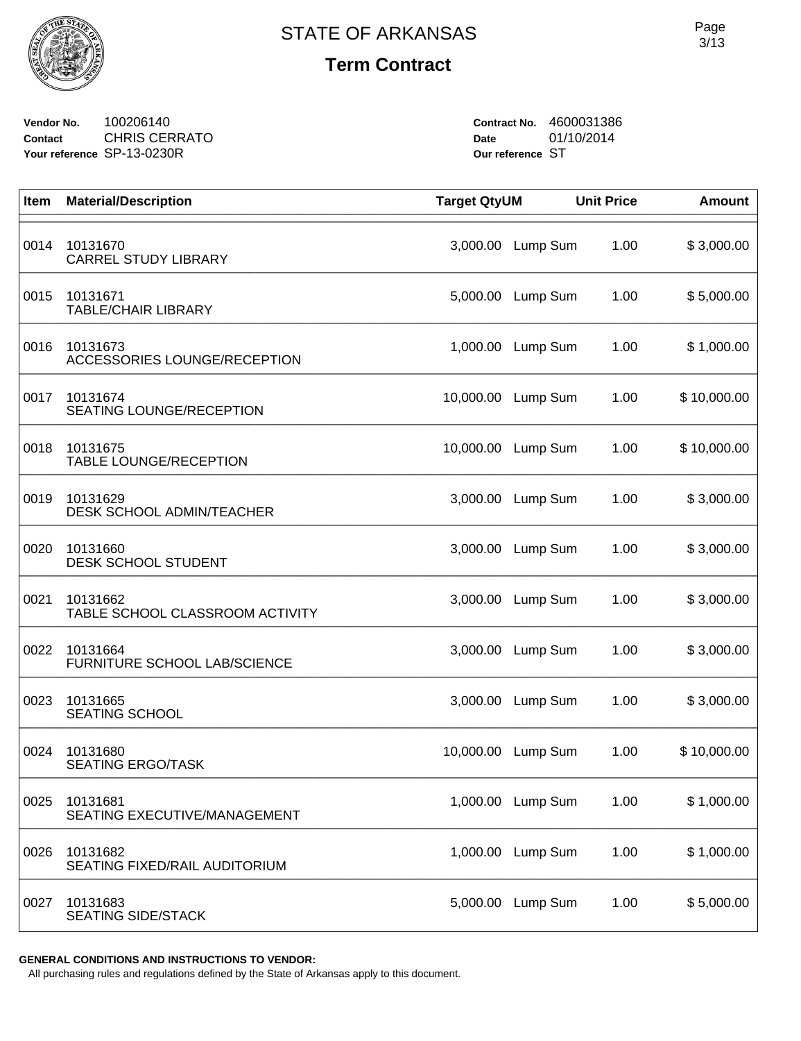

**Vendor No.** 100206140 **Contact** CHRIS CERRATO **Your reference** SP-13-0230R

**Contract No.** 4600031386 **Date** 01/10/2014 **Our reference** ST

| Item | <b>Material/Description</b>                  | <b>Target QtyUM</b> |                   | <b>Unit Price</b> | <b>Amount</b> |
|------|----------------------------------------------|---------------------|-------------------|-------------------|---------------|
| 0014 | 10131670<br><b>CARREL STUDY LIBRARY</b>      | 3,000.00            | Lump Sum          | 1.00              | \$3,000.00    |
| 0015 | 10131671<br><b>TABLE/CHAIR LIBRARY</b>       |                     | 5,000.00 Lump Sum | 1.00              | \$5,000.00    |
| 0016 | 10131673<br>ACCESSORIES LOUNGE/RECEPTION     |                     | 1,000.00 Lump Sum | 1.00              | \$1,000.00    |
| 0017 | 10131674<br><b>SEATING LOUNGE/RECEPTION</b>  | 10,000.00           | Lump Sum          | 1.00              | \$10,000.00   |
| 0018 | 10131675<br><b>TABLE LOUNGE/RECEPTION</b>    | 10,000.00           | Lump Sum          | 1.00              | \$10,000.00   |
| 0019 | 10131629<br><b>DESK SCHOOL ADMIN/TEACHER</b> | 3,000.00            | Lump Sum          | 1.00              | \$3,000.00    |
| 0020 | 10131660<br><b>DESK SCHOOL STUDENT</b>       |                     | 3,000.00 Lump Sum | 1.00              | \$3,000.00    |
| 0021 | 10131662<br>TABLE SCHOOL CLASSROOM ACTIVITY  | 3,000.00            | Lump Sum          | 1.00              | \$3,000.00    |
| 0022 | 10131664<br>FURNITURE SCHOOL LAB/SCIENCE     | 3,000.00            | Lump Sum          | 1.00              | \$3,000.00    |
| 0023 | 10131665<br>SEATING SCHOOL                   | 3,000.00            | Lump Sum          | 1.00              | \$3,000.00    |
| 0024 | 10131680<br><b>SEATING ERGO/TASK</b>         | 10,000.00           | Lump Sum          | 1.00              | \$10,000.00   |
| 0025 | 10131681<br>SEATING EXECUTIVE/MANAGEMENT     |                     | 1,000.00 Lump Sum | 1.00              | \$1,000.00    |
| 0026 | 10131682<br>SEATING FIXED/RAIL AUDITORIUM    | 1,000.00            | Lump Sum          | 1.00              | \$1,000.00    |
| 0027 | 10131683<br><b>SEATING SIDE/STACK</b>        | 5,000.00            | Lump Sum          | 1.00              | \$5,000.00    |

**GENERAL CONDITIONS AND INSTRUCTIONS TO VENDOR:**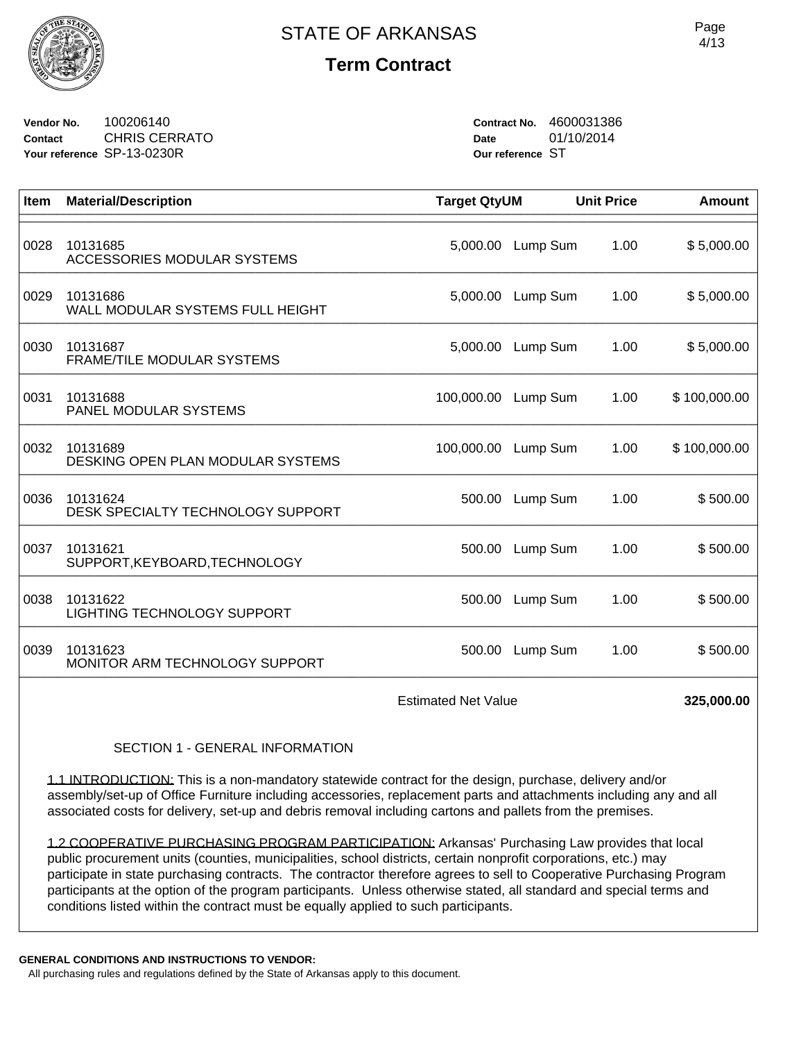

**Vendor No.** 100206140 **Contact** CHRIS CERRATO **Your reference** SP-13-0230R

**Contract No.** 4600031386 **Date** 01/10/2014 **Our reference** ST

| Item                                                                                                                                                                                                                                                                                                                                      | <b>Material/Description</b>                    | <b>Target QtyUM</b> |                   | <b>Unit Price</b> | <b>Amount</b> |  |
|-------------------------------------------------------------------------------------------------------------------------------------------------------------------------------------------------------------------------------------------------------------------------------------------------------------------------------------------|------------------------------------------------|---------------------|-------------------|-------------------|---------------|--|
| 0028                                                                                                                                                                                                                                                                                                                                      | 10131685<br><b>ACCESSORIES MODULAR SYSTEMS</b> |                     | 5,000.00 Lump Sum | 1.00              | \$5,000.00    |  |
| 0029                                                                                                                                                                                                                                                                                                                                      | 10131686<br>WALL MODULAR SYSTEMS FULL HEIGHT   | 5,000.00            | Lump Sum          | 1.00              | \$5,000.00    |  |
| 0030                                                                                                                                                                                                                                                                                                                                      | 10131687<br>FRAME/TILE MODULAR SYSTEMS         | 5,000.00            | Lump Sum          | 1.00              | \$5,000.00    |  |
| 0031                                                                                                                                                                                                                                                                                                                                      | 10131688<br>PANEL MODULAR SYSTEMS              | 100,000.00 Lump Sum |                   | 1.00              | \$100,000.00  |  |
| 0032                                                                                                                                                                                                                                                                                                                                      | 10131689<br>DESKING OPEN PLAN MODULAR SYSTEMS  | 100,000.00 Lump Sum |                   | 1.00              | \$100,000.00  |  |
| 0036                                                                                                                                                                                                                                                                                                                                      | 10131624<br>DESK SPECIALTY TECHNOLOGY SUPPORT  |                     | 500.00 Lump Sum   | 1.00              | \$500.00      |  |
| 0037                                                                                                                                                                                                                                                                                                                                      | 10131621<br>SUPPORT, KEYBOARD, TECHNOLOGY      | 500.00              | Lump Sum          | 1.00              | \$500.00      |  |
| 0038                                                                                                                                                                                                                                                                                                                                      | 10131622<br><b>LIGHTING TECHNOLOGY SUPPORT</b> | 500.00              | Lump Sum          | 1.00              | \$500.00      |  |
| 0039                                                                                                                                                                                                                                                                                                                                      | 10131623<br>MONITOR ARM TECHNOLOGY SUPPORT     | 500.00              | Lump Sum          | 1.00              | \$500.00      |  |
| <b>Estimated Net Value</b>                                                                                                                                                                                                                                                                                                                |                                                |                     |                   |                   | 325,000.00    |  |
| SECTION 1 - GENERAL INFORMATION                                                                                                                                                                                                                                                                                                           |                                                |                     |                   |                   |               |  |
| 1.1 INTRODUCTION: This is a non-mandatory statewide contract for the design, purchase, delivery and/or<br>assembly/set-up of Office Furniture including accessories, replacement parts and attachments including any and all<br>associated costs for delivery, set-up and debris removal including cartons and pallets from the premises. |                                                |                     |                   |                   |               |  |
| 1.2 COOPERATIVE PURCHASING PROGRAM PARTICIPATION: Arkansas' Purchasing Law provides that local                                                                                                                                                                                                                                            |                                                |                     |                   |                   |               |  |

public procurement units (counties, municipalities, school districts, certain nonprofit corporations, etc.) may participate in state purchasing contracts. The contractor therefore agrees to sell to Cooperative Purchasing Program participants at the option of the program participants. Unless otherwise stated, all standard and special terms and conditions listed within the contract must be equally applied to such participants.

**GENERAL CONDITIONS AND INSTRUCTIONS TO VENDOR:**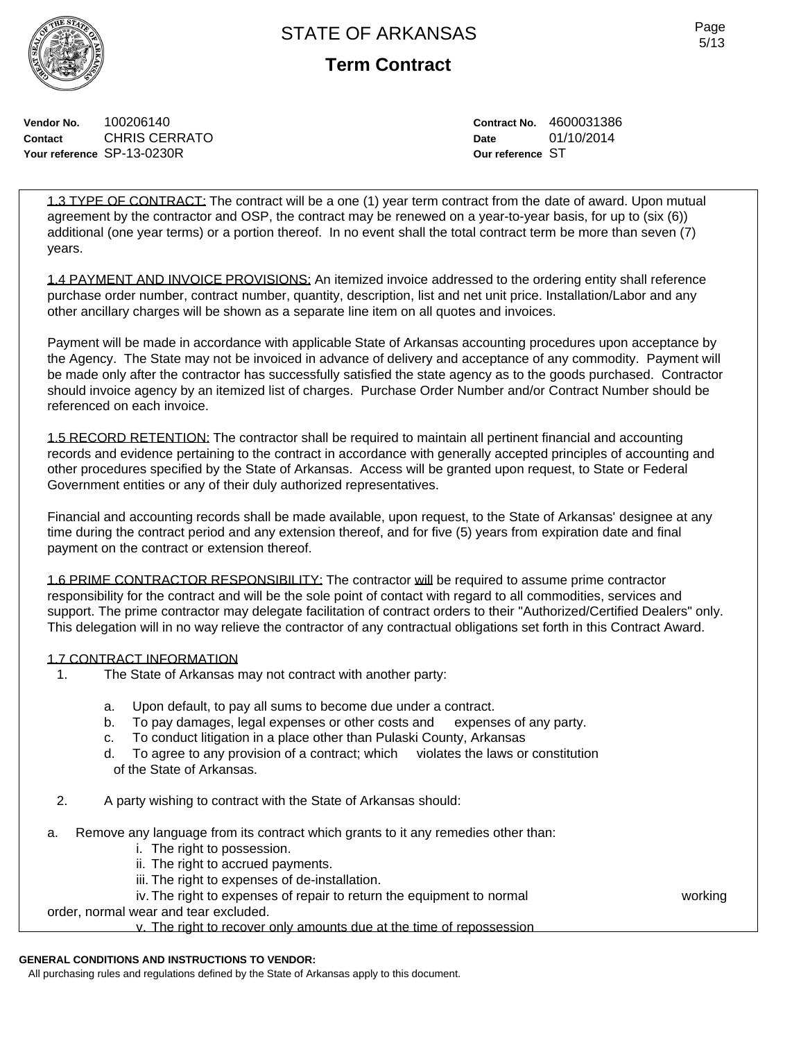**Term Contract**

**Vendor No.** 100206140 **Contact** CHRIS CERRATO **Your reference** SP-13-0230R

**Contract No.** 4600031386 **Date** 01/10/2014 **Our reference** ST

1.3 TYPE OF CONTRACT: The contract will be a one (1) year term contract from the date of award. Upon mutual agreement by the contractor and OSP, the contract may be renewed on a year-to-year basis, for up to (six (6)) additional (one year terms) or a portion thereof. In no event shall the total contract term be more than seven (7) years.

1.4 PAYMENT AND INVOICE PROVISIONS: An itemized invoice addressed to the ordering entity shall reference purchase order number, contract number, quantity, description, list and net unit price. Installation/Labor and any other ancillary charges will be shown as a separate line item on all quotes and invoices.

Payment will be made in accordance with applicable State of Arkansas accounting procedures upon acceptance by the Agency. The State may not be invoiced in advance of delivery and acceptance of any commodity. Payment will be made only after the contractor has successfully satisfied the state agency as to the goods purchased. Contractor should invoice agency by an itemized list of charges. Purchase Order Number and/or Contract Number should be referenced on each invoice.

1.5 RECORD RETENTION: The contractor shall be required to maintain all pertinent financial and accounting records and evidence pertaining to the contract in accordance with generally accepted principles of accounting and other procedures specified by the State of Arkansas. Access will be granted upon request, to State or Federal Government entities or any of their duly authorized representatives.

Financial and accounting records shall be made available, upon request, to the State of Arkansas' designee at any time during the contract period and any extension thereof, and for five (5) years from expiration date and final payment on the contract or extension thereof.

1.6 PRIME CONTRACTOR RESPONSIBILITY: The contractor will be required to assume prime contractor responsibility for the contract and will be the sole point of contact with regard to all commodities, services and support. The prime contractor may delegate facilitation of contract orders to their "Authorized/Certified Dealers" only. This delegation will in no way relieve the contractor of any contractual obligations set forth in this Contract Award.

# 1.7 CONTRACT INFORMATION<br>1 The State of Arkansas r

- The State of Arkansas may not contract with another party:
	- a. Upon default, to pay all sums to become due under a contract.
	- b. To pay damages, legal expenses or other costs and expenses of any party.
	- c. To conduct litigation in a place other than Pulaski County, Arkansas
	- d. To agree to any provision of a contract; which violates the laws or constitution of the State of Arkansas.
- 2. A party wishing to contract with the State of Arkansas should:
- a. Remove any language from its contract which grants to it any remedies other than:
	- i. The right to possession.
	- ii. The right to accrued payments.
	- iii. The right to expenses of de-installation.
	- iv. The right to expenses of repair to return the equipment to normal working

order, normal wear and tear excluded.

v. The right to recover only amounts due at the time of repossession

# **GENERAL CONDITIONS AND INSTRUCTIONS TO VENDOR:**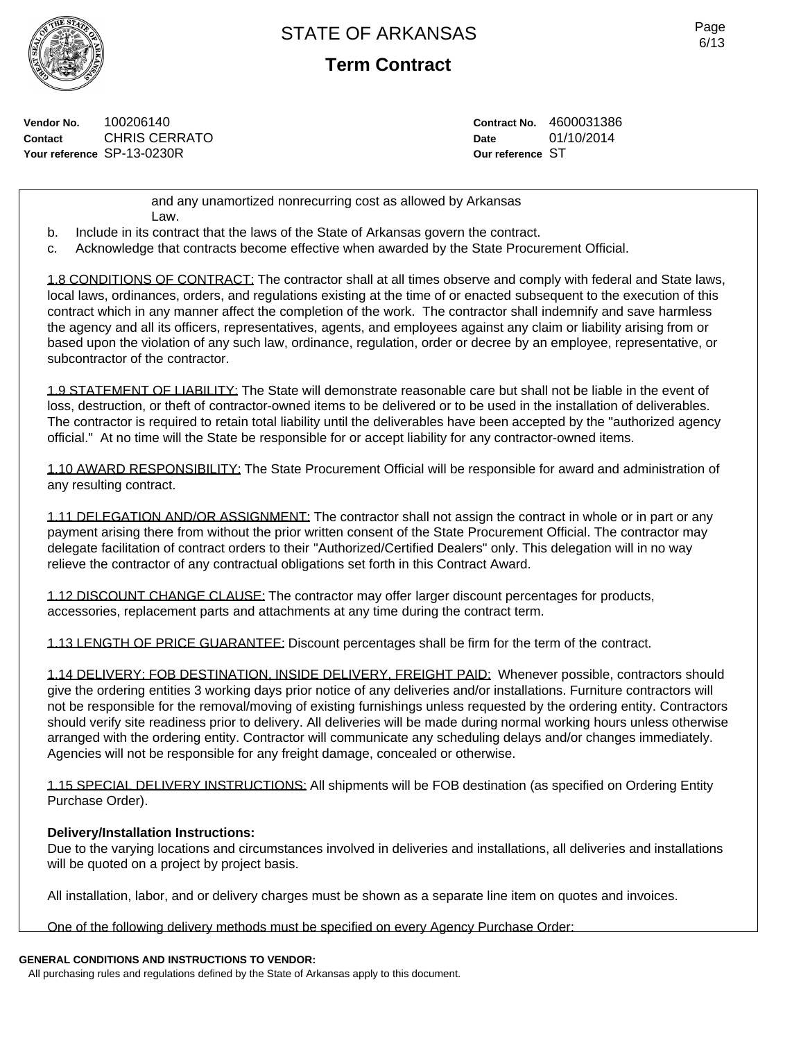**Term Contract**

**Vendor No.** 100206140 **Contact** CHRIS CERRATO **Your reference** SP-13-0230R

**Contract No.** 4600031386 **Date** 01/10/2014 **Our reference** ST

and any unamortized nonrecurring cost as allowed by Arkansas Law.

b. Include in its contract that the laws of the State of Arkansas govern the contract.

c. Acknowledge that contracts become effective when awarded by the State Procurement Official.

1.8 CONDITIONS OF CONTRACT: The contractor shall at all times observe and comply with federal and State laws, local laws, ordinances, orders, and regulations existing at the time of or enacted subsequent to the execution of this contract which in any manner affect the completion of the work. The contractor shall indemnify and save harmless the agency and all its officers, representatives, agents, and employees against any claim or liability arising from or based upon the violation of any such law, ordinance, regulation, order or decree by an employee, representative, or subcontractor of the contractor.

1.9 STATEMENT OF LIABILITY: The State will demonstrate reasonable care but shall not be liable in the event of loss, destruction, or theft of contractor-owned items to be delivered or to be used in the installation of deliverables. The contractor is required to retain total liability until the deliverables have been accepted by the "authorized agency official." At no time will the State be responsible for or accept liability for any contractor-owned items.

1.10 AWARD RESPONSIBILITY: The State Procurement Official will be responsible for award and administration of any resulting contract.

1.11 DELEGATION AND/OR ASSIGNMENT: The contractor shall not assign the contract in whole or in part or any payment arising there from without the prior written consent of the State Procurement Official. The contractor may delegate facilitation of contract orders to their "Authorized/Certified Dealers" only. This delegation will in no way relieve the contractor of any contractual obligations set forth in this Contract Award.

1.12 DISCOUNT CHANGE CLAUSE: The contractor may offer larger discount percentages for products, accessories, replacement parts and attachments at any time during the contract term.

1.13 LENGTH OF PRICE GUARANTEE: Discount percentages shall be firm for the term of the contract.

1.14 DELIVERY: FOB DESTINATION, INSIDE DELIVERY, FREIGHT PAID: Whenever possible, contractors should give the ordering entities 3 working days prior notice of any deliveries and/or installations. Furniture contractors will not be responsible for the removal/moving of existing furnishings unless requested by the ordering entity. Contractors should verify site readiness prior to delivery. All deliveries will be made during normal working hours unless otherwise arranged with the ordering entity. Contractor will communicate any scheduling delays and/or changes immediately. Agencies will not be responsible for any freight damage, concealed or otherwise.

1.15 SPECIAL DELIVERY INSTRUCTIONS: All shipments will be FOB destination (as specified on Ordering Entity Purchase Order).

# **Delivery/Installation Instructions:**

Due to the varying locations and circumstances involved in deliveries and installations, all deliveries and installations will be quoted on a project by project basis.

All installation, labor, and or delivery charges must be shown as a separate line item on quotes and invoices.

One of the following delivery methods must be specified on every Agency Purchase Order:

# **GENERAL CONDITIONS AND INSTRUCTIONS TO VENDOR:**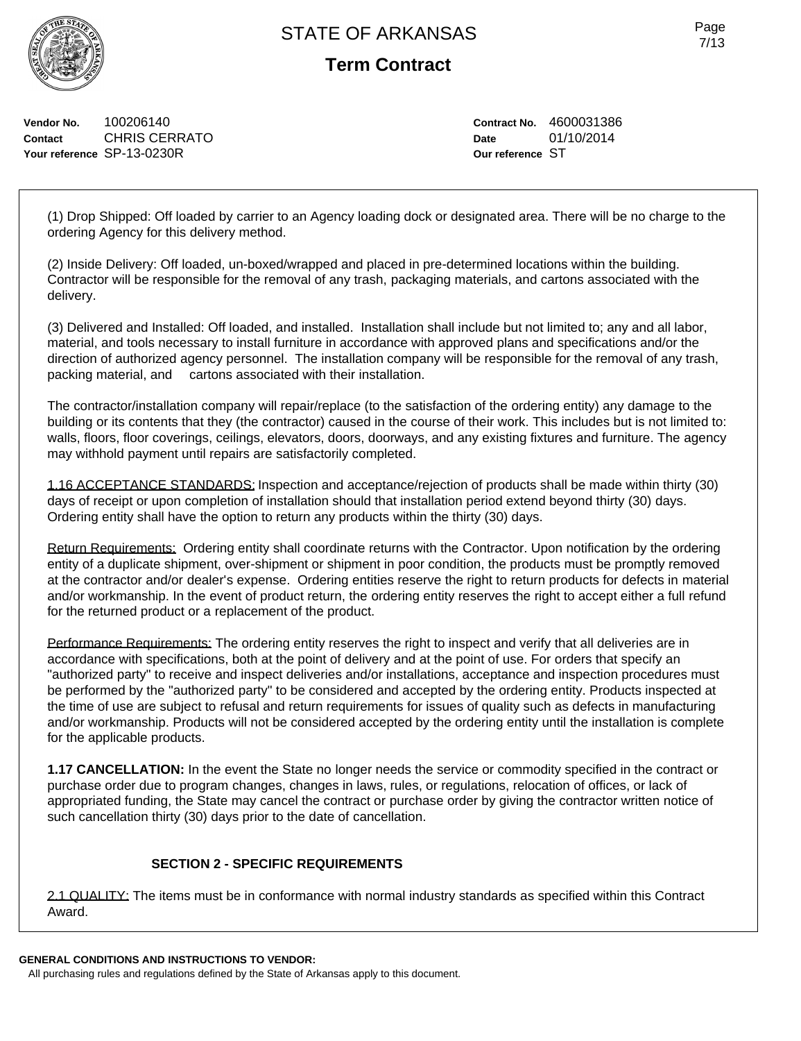**Term Contract**

**Vendor No.** 100206140 **Contact** CHRIS CERRATO **Your reference** SP-13-0230R

**Contract No.** 4600031386 **Date** 01/10/2014 **Our reference** ST

(1) Drop Shipped: Off loaded by carrier to an Agency loading dock or designated area. There will be no charge to the ordering Agency for this delivery method.

(2) Inside Delivery: Off loaded, un-boxed/wrapped and placed in pre-determined locations within the building. Contractor will be responsible for the removal of any trash, packaging materials, and cartons associated with the delivery.

(3) Delivered and Installed: Off loaded, and installed. Installation shall include but not limited to; any and all labor, material, and tools necessary to install furniture in accordance with approved plans and specifications and/or the direction of authorized agency personnel. The installation company will be responsible for the removal of any trash, packing material, and cartons associated with their installation.

The contractor/installation company will repair/replace (to the satisfaction of the ordering entity) any damage to the building or its contents that they (the contractor) caused in the course of their work. This includes but is not limited to: walls, floors, floor coverings, ceilings, elevators, doors, doorways, and any existing fixtures and furniture. The agency may withhold payment until repairs are satisfactorily completed.

1.16 ACCEPTANCE STANDARDS: Inspection and acceptance/rejection of products shall be made within thirty (30) days of receipt or upon completion of installation should that installation period extend beyond thirty (30) days. Ordering entity shall have the option to return any products within the thirty (30) days.

Return Requirements: Ordering entity shall coordinate returns with the Contractor. Upon notification by the ordering entity of a duplicate shipment, over-shipment or shipment in poor condition, the products must be promptly removed at the contractor and/or dealer's expense. Ordering entities reserve the right to return products for defects in material and/or workmanship. In the event of product return, the ordering entity reserves the right to accept either a full refund for the returned product or a replacement of the product.

Performance Requirements: The ordering entity reserves the right to inspect and verify that all deliveries are in accordance with specifications, both at the point of delivery and at the point of use. For orders that specify an "authorized party" to receive and inspect deliveries and/or installations, acceptance and inspection procedures must be performed by the "authorized party" to be considered and accepted by the ordering entity. Products inspected at the time of use are subject to refusal and return requirements for issues of quality such as defects in manufacturing and/or workmanship. Products will not be considered accepted by the ordering entity until the installation is complete for the applicable products.

**1.17 CANCELLATION:** In the event the State no longer needs the service or commodity specified in the contract or purchase order due to program changes, changes in laws, rules, or regulations, relocation of offices, or lack of appropriated funding, the State may cancel the contract or purchase order by giving the contractor written notice of such cancellation thirty (30) days prior to the date of cancellation.

# **SECTION 2 - SPECIFIC REQUIREMENTS**

2.1 QUALITY: The items must be in conformance with normal industry standards as specified within this Contract Award.

### **GENERAL CONDITIONS AND INSTRUCTIONS TO VENDOR:**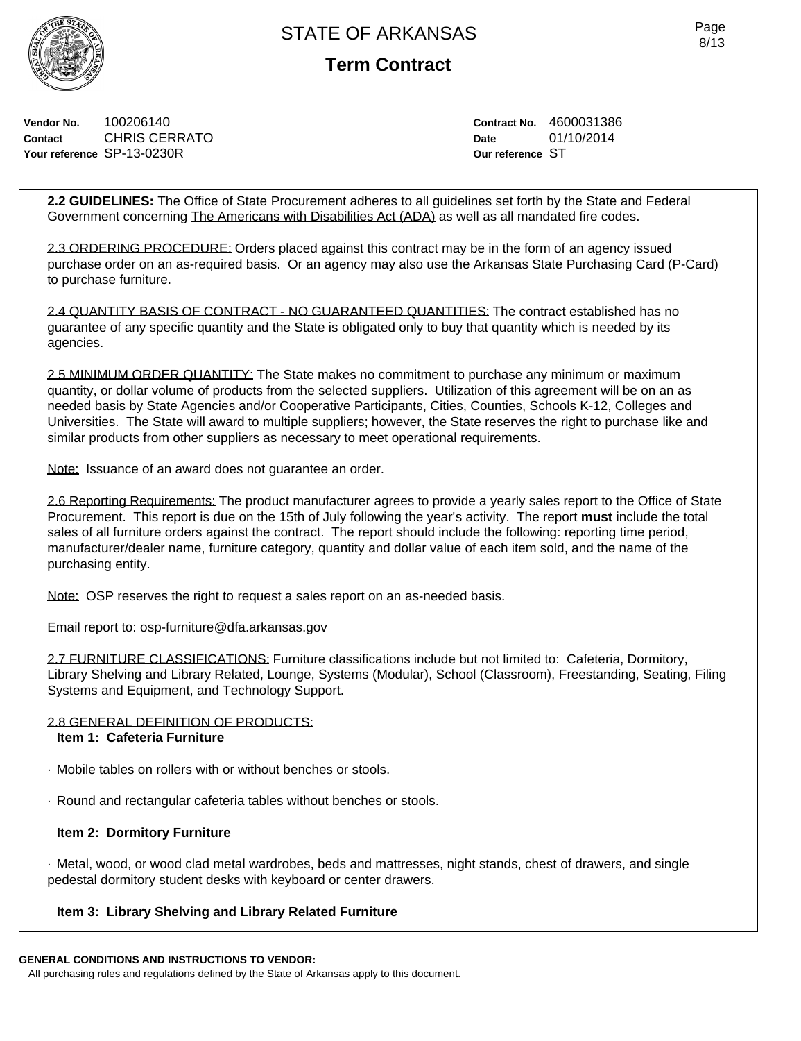**Term Contract**

**Vendor No.** 100206140 **Contact** CHRIS CERRATO **Your reference** SP-13-0230R

**Contract No.** 4600031386 **Date** 01/10/2014 **Our reference** ST

**2.2 GUIDELINES:** The Office of State Procurement adheres to all guidelines set forth by the State and Federal Government concerning The Americans with Disabilities Act (ADA) as well as all mandated fire codes.

2.3 ORDERING PROCEDURE: Orders placed against this contract may be in the form of an agency issued purchase order on an as-required basis. Or an agency may also use the Arkansas State Purchasing Card (P-Card) to purchase furniture.

2.4 QUANTITY BASIS OF CONTRACT - NO GUARANTEED QUANTITIES: The contract established has no guarantee of any specific quantity and the State is obligated only to buy that quantity which is needed by its agencies.

2.5 MINIMUM ORDER QUANTITY: The State makes no commitment to purchase any minimum or maximum quantity, or dollar volume of products from the selected suppliers. Utilization of this agreement will be on an as needed basis by State Agencies and/or Cooperative Participants, Cities, Counties, Schools K-12, Colleges and Universities. The State will award to multiple suppliers; however, the State reserves the right to purchase like and similar products from other suppliers as necessary to meet operational requirements.

Note: Issuance of an award does not guarantee an order.

2.6 Reporting Requirements: The product manufacturer agrees to provide a yearly sales report to the Office of State Procurement. This report is due on the 15th of July following the year's activity. The report **must** include the total sales of all furniture orders against the contract. The report should include the following: reporting time period, manufacturer/dealer name, furniture category, quantity and dollar value of each item sold, and the name of the purchasing entity.

Note: OSP reserves the right to request a sales report on an as-needed basis.

Email report to: osp-furniture@dfa.arkansas.gov

2.7 FURNITURE CLASSIFICATIONS: Furniture classifications include but not limited to: Cafeteria, Dormitory, Library Shelving and Library Related, Lounge, Systems (Modular), School (Classroom), Freestanding, Seating, Filing Systems and Equipment, and Technology Support.

# 2.8 GENERAL DEFINITION OF PRODUCTS:

## **Item 1: Cafeteria Furniture**

- · Mobile tables on rollers with or without benches or stools.
- · Round and rectangular cafeteria tables without benches or stools.

# **Item 2: Dormitory Furniture**

· Metal, wood, or wood clad metal wardrobes, beds and mattresses, night stands, chest of drawers, and single pedestal dormitory student desks with keyboard or center drawers.

# **Item 3: Library Shelving and Library Related Furniture**

# **GENERAL CONDITIONS AND INSTRUCTIONS TO VENDOR:**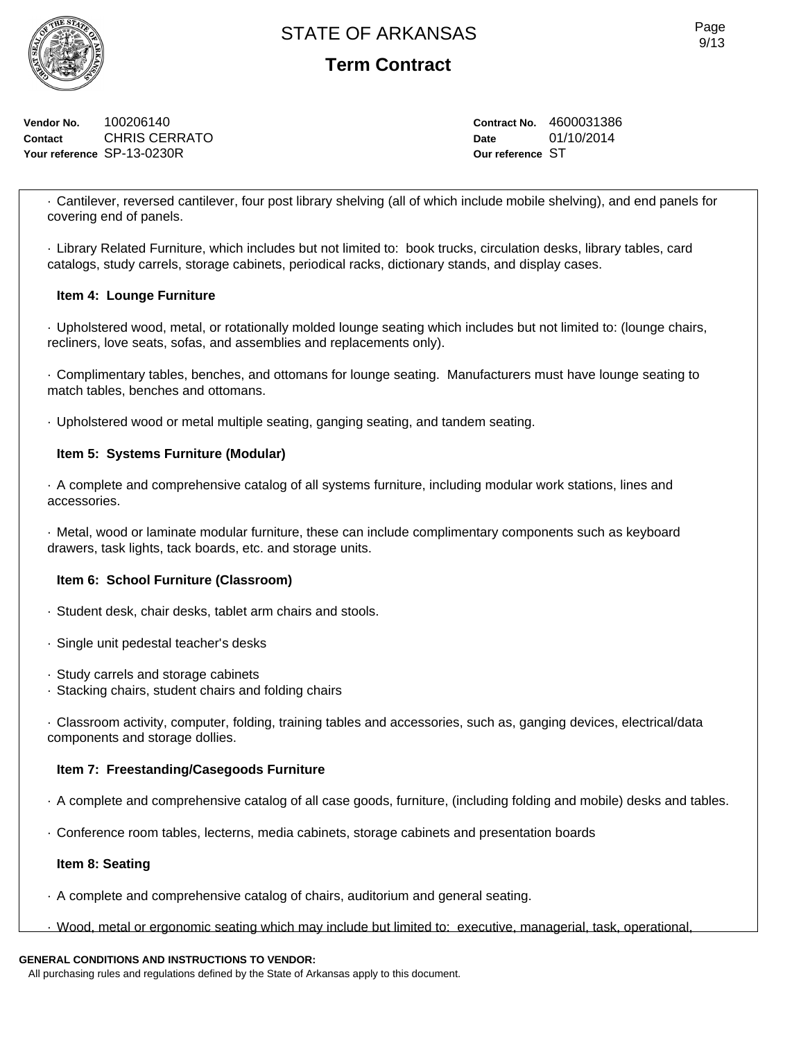**Term Contract**

**Vendor No.** 100206140 **Contact** CHRIS CERRATO **Your reference** SP-13-0230R

**Contract No.** 4600031386 **Date** 01/10/2014 **Our reference** ST

· Cantilever, reversed cantilever, four post library shelving (all of which include mobile shelving), and end panels for covering end of panels.

· Library Related Furniture, which includes but not limited to: book trucks, circulation desks, library tables, card catalogs, study carrels, storage cabinets, periodical racks, dictionary stands, and display cases.

## **Item 4: Lounge Furniture**

· Upholstered wood, metal, or rotationally molded lounge seating which includes but not limited to: (lounge chairs, recliners, love seats, sofas, and assemblies and replacements only).

· Complimentary tables, benches, and ottomans for lounge seating. Manufacturers must have lounge seating to match tables, benches and ottomans.

· Upholstered wood or metal multiple seating, ganging seating, and tandem seating.

## **Item 5: Systems Furniture (Modular)**

· A complete and comprehensive catalog of all systems furniture, including modular work stations, lines and accessories.

· Metal, wood or laminate modular furniture, these can include complimentary components such as keyboard drawers, task lights, tack boards, etc. and storage units.

## **Item 6: School Furniture (Classroom)**

· Student desk, chair desks, tablet arm chairs and stools.

- · Single unit pedestal teacher's desks
- · Study carrels and storage cabinets
- · Stacking chairs, student chairs and folding chairs

· Classroom activity, computer, folding, training tables and accessories, such as, ganging devices, electrical/data components and storage dollies.

## **Item 7: Freestanding/Casegoods Furniture**

- · A complete and comprehensive catalog of all case goods, furniture, (including folding and mobile) desks and tables.
- · Conference room tables, lecterns, media cabinets, storage cabinets and presentation boards

## **Item 8: Seating**

- · A complete and comprehensive catalog of chairs, auditorium and general seating.
- · Wood, metal or ergonomic seating which may include but limited to: executive, managerial, task, operational,

## **GENERAL CONDITIONS AND INSTRUCTIONS TO VENDOR:**

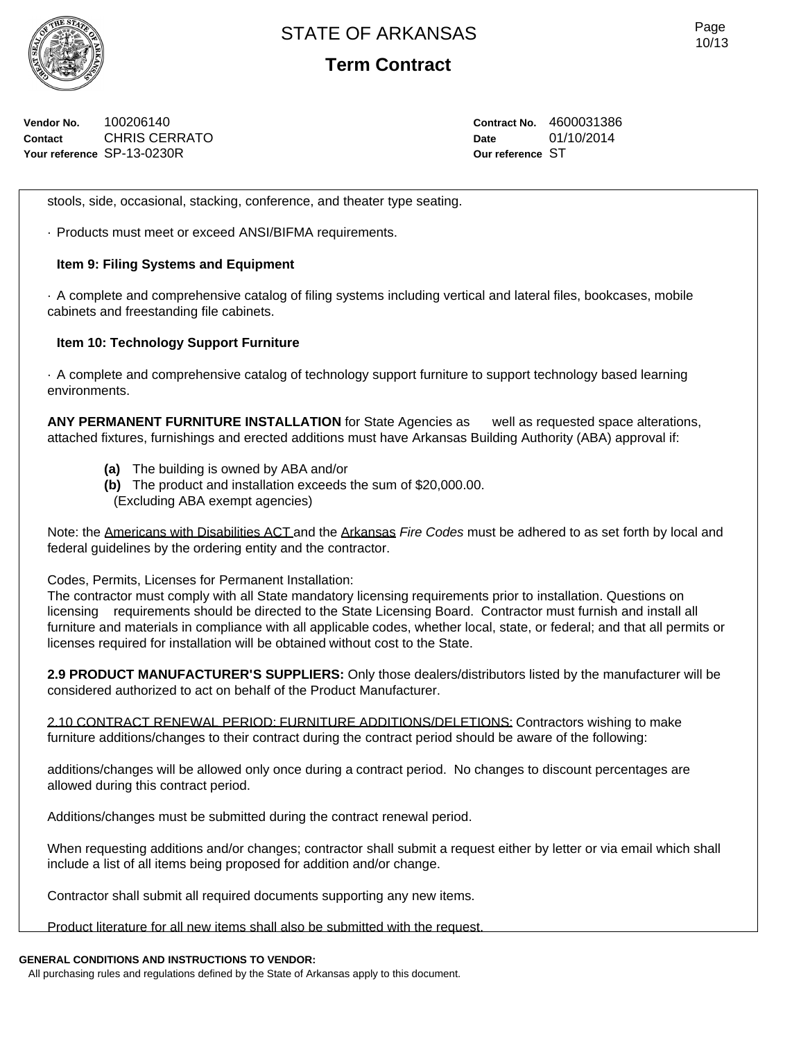

**Term Contract**

**Vendor No.** 100206140 **Contact** CHRIS CERRATO **Your reference** SP-13-0230R

**Contract No.** 4600031386 **Date** 01/10/2014 **Our reference** ST

stools, side, occasional, stacking, conference, and theater type seating.

· Products must meet or exceed ANSI/BIFMA requirements.

## **Item 9: Filing Systems and Equipment**

· A complete and comprehensive catalog of filing systems including vertical and lateral files, bookcases, mobile cabinets and freestanding file cabinets.

## **Item 10: Technology Support Furniture**

· A complete and comprehensive catalog of technology support furniture to support technology based learning environments.

**ANY PERMANENT FURNITURE INSTALLATION** for State Agencies as well as requested space alterations, attached fixtures, furnishings and erected additions must have Arkansas Building Authority (ABA) approval if:

- **(a)** The building is owned by ABA and/or
- **(b)** The product and installation exceeds the sum of \$20,000.00. (Excluding ABA exempt agencies)

Note: the Americans with Disabilities ACT and the Arkansas *Fire Codes* must be adhered to as set forth by local and federal guidelines by the ordering entity and the contractor.

Codes, Permits, Licenses for Permanent Installation:

The contractor must comply with all State mandatory licensing requirements prior to installation. Questions on licensing requirements should be directed to the State Licensing Board. Contractor must furnish and install all furniture and materials in compliance with all applicable codes, whether local, state, or federal; and that all permits or licenses required for installation will be obtained without cost to the State.

**2.9 PRODUCT MANUFACTURER'S SUPPLIERS:** Only those dealers/distributors listed by the manufacturer will be considered authorized to act on behalf of the Product Manufacturer.

2.10 CONTRACT RENEWAL PERIOD: FURNITURE ADDITIONS/DELETIONS: Contractors wishing to make furniture additions/changes to their contract during the contract period should be aware of the following:

additions/changes will be allowed only once during a contract period. No changes to discount percentages are allowed during this contract period.

Additions/changes must be submitted during the contract renewal period.

When requesting additions and/or changes; contractor shall submit a request either by letter or via email which shall include a list of all items being proposed for addition and/or change.

Contractor shall submit all required documents supporting any new items.

Product literature for all new items shall also be submitted with the request.

## **GENERAL CONDITIONS AND INSTRUCTIONS TO VENDOR:**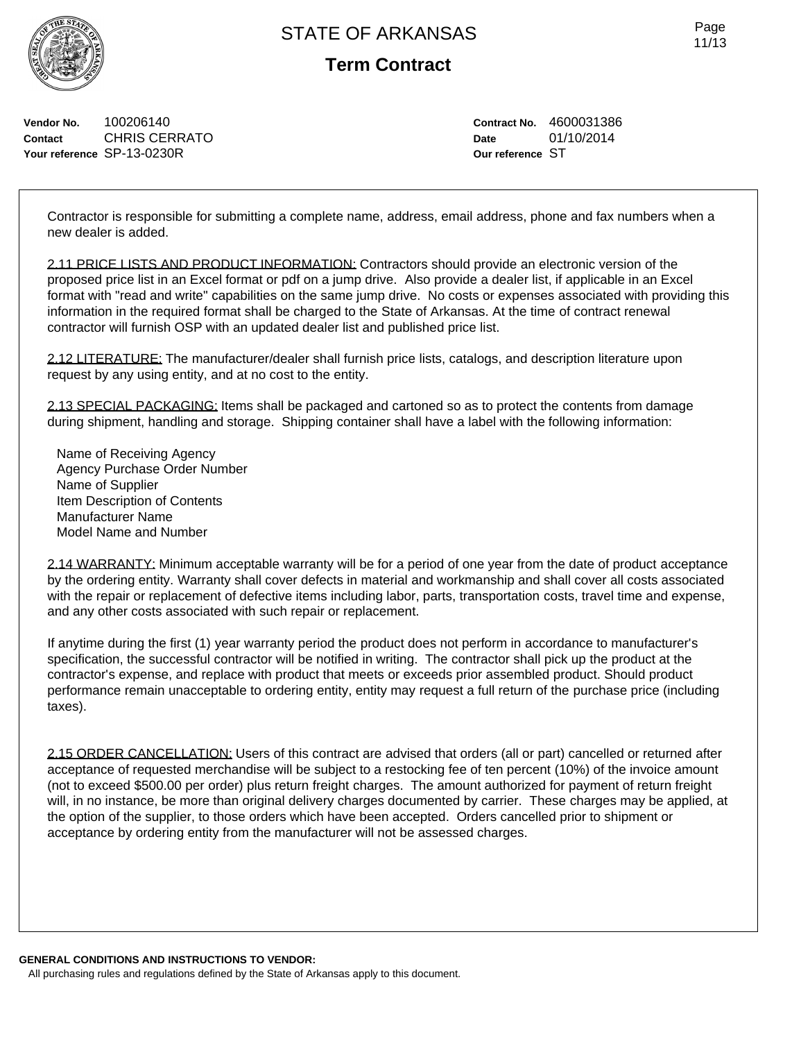

**Term Contract**

**Vendor No.** 100206140 **Contact** CHRIS CERRATO **Your reference** SP-13-0230R

**Contract No.** 4600031386 **Date** 01/10/2014 **Our reference** ST

Contractor is responsible for submitting a complete name, address, email address, phone and fax numbers when a new dealer is added.

2.11 PRICE LISTS AND PRODUCT INFORMATION: Contractors should provide an electronic version of the proposed price list in an Excel format or pdf on a jump drive. Also provide a dealer list, if applicable in an Excel format with "read and write" capabilities on the same jump drive. No costs or expenses associated with providing this information in the required format shall be charged to the State of Arkansas. At the time of contract renewal contractor will furnish OSP with an updated dealer list and published price list.

2.12 LITERATURE: The manufacturer/dealer shall furnish price lists, catalogs, and description literature upon request by any using entity, and at no cost to the entity.

2.13 SPECIAL PACKAGING: Items shall be packaged and cartoned so as to protect the contents from damage during shipment, handling and storage. Shipping container shall have a label with the following information:

Name of Receiving Agency Agency Purchase Order Number Name of Supplier Item Description of Contents Manufacturer Name Model Name and Number

2.14 WARRANTY: Minimum acceptable warranty will be for a period of one year from the date of product acceptance by the ordering entity. Warranty shall cover defects in material and workmanship and shall cover all costs associated with the repair or replacement of defective items including labor, parts, transportation costs, travel time and expense, and any other costs associated with such repair or replacement.

If anytime during the first (1) year warranty period the product does not perform in accordance to manufacturer's specification, the successful contractor will be notified in writing. The contractor shall pick up the product at the contractor's expense, and replace with product that meets or exceeds prior assembled product. Should product performance remain unacceptable to ordering entity, entity may request a full return of the purchase price (including taxes).

2.15 ORDER CANCELLATION: Users of this contract are advised that orders (all or part) cancelled or returned after acceptance of requested merchandise will be subject to a restocking fee of ten percent (10%) of the invoice amount (not to exceed \$500.00 per order) plus return freight charges. The amount authorized for payment of return freight will, in no instance, be more than original delivery charges documented by carrier. These charges may be applied, at the option of the supplier, to those orders which have been accepted. Orders cancelled prior to shipment or acceptance by ordering entity from the manufacturer will not be assessed charges.

**GENERAL CONDITIONS AND INSTRUCTIONS TO VENDOR:** All purchasing rules and regulations defined by the State of Arkansas apply to this document.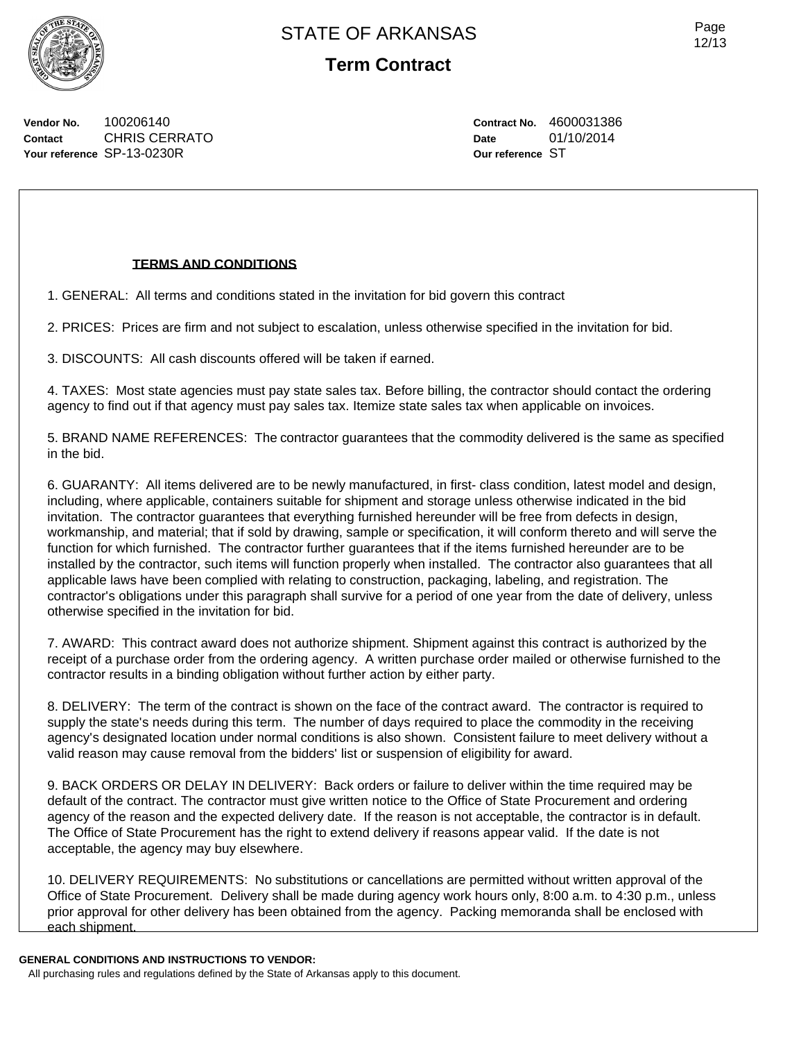

**Vendor No.** 100206140 **Contact** CHRIS CERRATO **Your reference** SP-13-0230R

## **TERMS AND CONDITIONS**

1. GENERAL: All terms and conditions stated in the invitation for bid govern this contract

2. PRICES: Prices are firm and not subject to escalation, unless otherwise specified in the invitation for bid.

3. DISCOUNTS: All cash discounts offered will be taken if earned.

4. TAXES: Most state agencies must pay state sales tax. Before billing, the contractor should contact the ordering agency to find out if that agency must pay sales tax. Itemize state sales tax when applicable on invoices.

5. BRAND NAME REFERENCES: The contractor guarantees that the commodity delivered is the same as specified in the bid.

6. GUARANTY: All items delivered are to be newly manufactured, in first- class condition, latest model and design, including, where applicable, containers suitable for shipment and storage unless otherwise indicated in the bid invitation. The contractor guarantees that everything furnished hereunder will be free from defects in design, workmanship, and material; that if sold by drawing, sample or specification, it will conform thereto and will serve the function for which furnished. The contractor further guarantees that if the items furnished hereunder are to be installed by the contractor, such items will function properly when installed. The contractor also guarantees that all applicable laws have been complied with relating to construction, packaging, labeling, and registration. The contractor's obligations under this paragraph shall survive for a period of one year from the date of delivery, unless otherwise specified in the invitation for bid.

7. AWARD: This contract award does not authorize shipment. Shipment against this contract is authorized by the receipt of a purchase order from the ordering agency. A written purchase order mailed or otherwise furnished to the contractor results in a binding obligation without further action by either party.

8. DELIVERY: The term of the contract is shown on the face of the contract award. The contractor is required to supply the state's needs during this term. The number of days required to place the commodity in the receiving agency's designated location under normal conditions is also shown. Consistent failure to meet delivery without a valid reason may cause removal from the bidders' list or suspension of eligibility for award.

9. BACK ORDERS OR DELAY IN DELIVERY: Back orders or failure to deliver within the time required may be default of the contract. The contractor must give written notice to the Office of State Procurement and ordering agency of the reason and the expected delivery date. If the reason is not acceptable, the contractor is in default. The Office of State Procurement has the right to extend delivery if reasons appear valid. If the date is not acceptable, the agency may buy elsewhere.

10. DELIVERY REQUIREMENTS: No substitutions or cancellations are permitted without written approval of the Office of State Procurement. Delivery shall be made during agency work hours only, 8:00 a.m. to 4:30 p.m., unless prior approval for other delivery has been obtained from the agency. Packing memoranda shall be enclosed with each shipment.

### **GENERAL CONDITIONS AND INSTRUCTIONS TO VENDOR:**